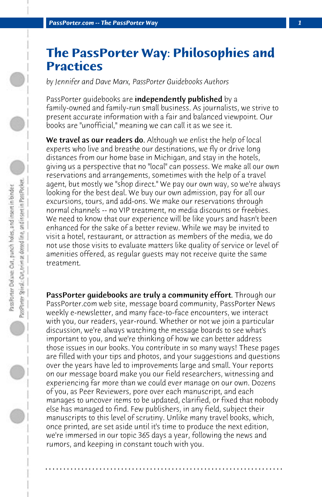## **The PassPorter Way: Philosophies and Practices**

*by Jennifer and Dave Marx, PassPorter Guidebooks Authors*

PassPorter quidebooks are **independently published** by a family-owned and family-run small business. As journalists, we strive to present accurate information with a fair and balanced viewpoint. Our books are "unofficial," meaning we can call it as we see it.

We travel as our readers do. Although we enlist the help of local experts who live and breathe our destinations, we fly or drive long distances from our home base in Michigan, and stay in the hotels, giving us a perspective that no "local" can possess. We make all our own reservations and arrangements, sometimes with the help of a travel agent, but mostly we "shop direct." We pay our own way, so we're always looking for the best deal. We buy our own admission, pay for all our excursions, tours, and add-ons. We make our reservations through normal channels -- no VIP treatment, no media discounts or freebies. We need to know that our experience will be like yours and hasn't been enhanced for the sake of a better review. While we may be invited to visit a hotel, restaurant, or attraction as members of the media, we do not use those visits to evaluate matters like quality of service or level of amenities offered, as regular guests may not receive quite the same treatment.

PassPorter quidebooks are truly a community effort. Through our PassPorter.com web site, message board community, PassPorter News weekly e-newsletter, and many face-to-face encounters, we interact with you, our readers, year-round. Whether or not we join a particular discussion, we're always watching the message boards to see what's important to you, and we're thinking of how we can better address those issues in our books. You contribute in so many ways! These pages are filled with your tips and photos, and your suggestions and questions over the years have led to improvements large and small. Your reports on our message board make you our field researchers, witnessing and experiencing far more than we could ever manage on our own. Dozens of you, as Peer Reviewers, pore over each manuscript, and each manages to uncover items to be updated, clarified, or fixed that nobody else has managed to find. Few publishers, in any field, subject their manuscripts to this level of scrutiny. Unlike many travel books, which, once printed, are set aside until it's time to produce the next edition, we're immersed in our topic 365 days a year, following the news and rumors, and keeping in constant touch with you.

**. . . . . . . . . . . . . . . . . . . . . . . . . . . . . . . . . . . . . . . . . . . . . . . . . . . . . . . . . . . . . . . . . .**